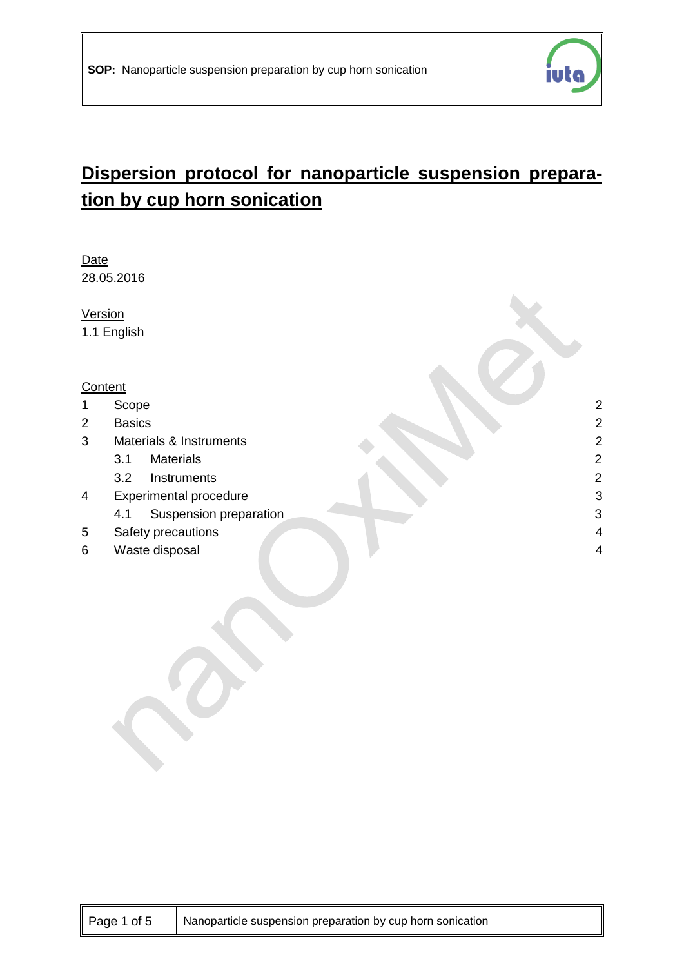

# **Dispersion protocol for nanoparticle suspension preparation by cup horn sonication**

Date 28.05.2016

**Version** 

1.1 English

#### **Content**

- 1 [Scope](#page-1-0) 2
- 2 [Basics](#page-1-1) 2
- 3 [Materials & Instruments](#page-1-2) 2
	- 3.1 [Materials](#page-1-3) 2
	- 3.2 [Instruments](#page-1-4) 2
- 4 [Experimental procedure](#page-2-0) 3 3
	- A.1 [Suspension preparation](#page-2-1) 3
- 5 [Safety precautions](#page-3-0) 4
- 6 [Waste disposal](#page-3-1) 4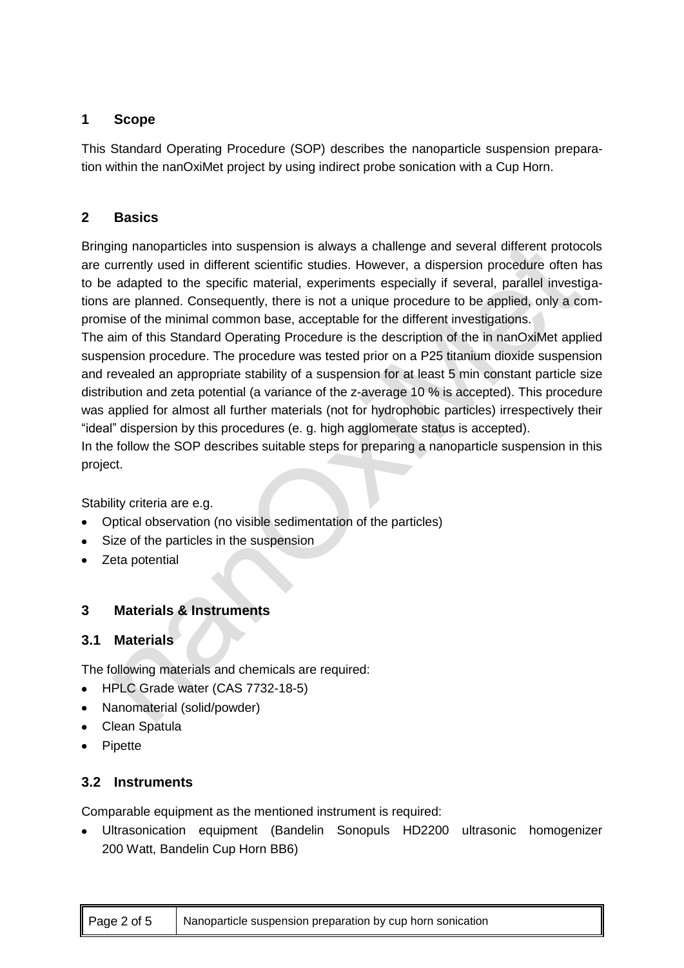# <span id="page-1-0"></span>**1 Scope**

This Standard Operating Procedure (SOP) describes the nanoparticle suspension preparation within the nanOxiMet project by using indirect probe sonication with a Cup Horn.

# <span id="page-1-1"></span>**2 Basics**

Bringing nanoparticles into suspension is always a challenge and several different protocols are currently used in different scientific studies. However, a dispersion procedure often has to be adapted to the specific material, experiments especially if several, parallel investigations are planned. Consequently, there is not a unique procedure to be applied, only a compromise of the minimal common base, acceptable for the different investigations.

The aim of this Standard Operating Procedure is the description of the in nanOxiMet applied suspension procedure. The procedure was tested prior on a P25 titanium dioxide suspension and revealed an appropriate stability of a suspension for at least 5 min constant particle size distribution and zeta potential (a variance of the z-average 10 % is accepted). This procedure was applied for almost all further materials (not for hydrophobic particles) irrespectively their "ideal" dispersion by this procedures (e. g. high agglomerate status is accepted).

In the follow the SOP describes suitable steps for preparing a nanoparticle suspension in this project.

Stability criteria are e.g.

- Optical observation (no visible sedimentation of the particles)
- Size of the particles in the suspension  $\bullet$
- Zeta potential  $\bullet$

# <span id="page-1-2"></span>**3 Materials & Instruments**

## <span id="page-1-3"></span>**3.1 Materials**

The following materials and chemicals are required:

- HPLC Grade water (CAS 7732-18-5)
- Nanomaterial (solid/powder)
- Clean Spatula  $\bullet$
- $\bullet$ Pipette

## <span id="page-1-4"></span>**3.2 Instruments**

Comparable equipment as the mentioned instrument is required:

Ultrasonication equipment (Bandelin Sonopuls HD2200 ultrasonic homogenizer 200 Watt, Bandelin Cup Horn BB6)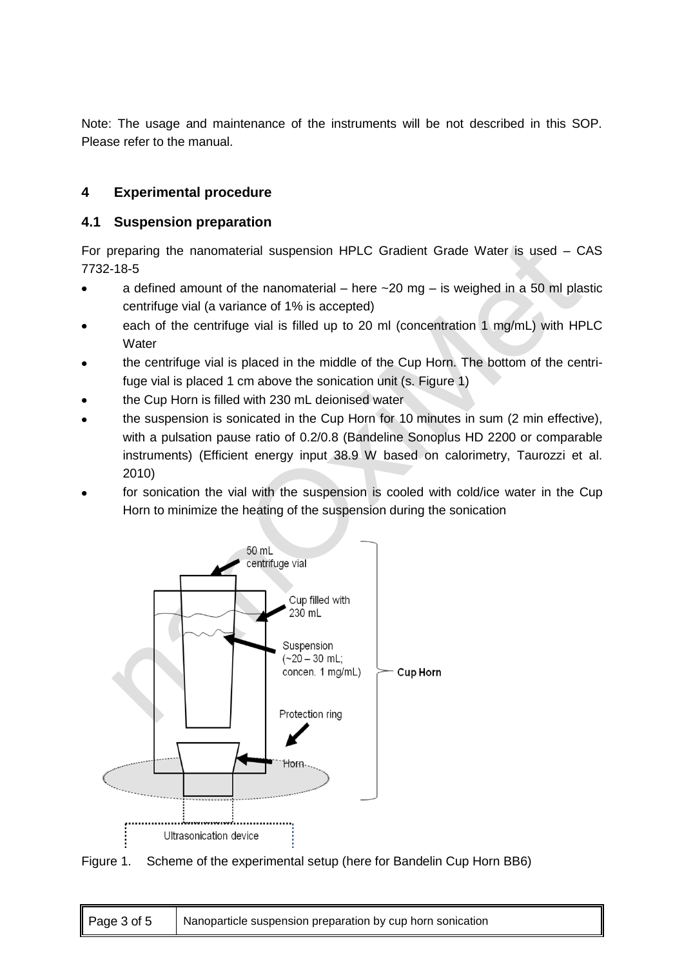Note: The usage and maintenance of the instruments will be not described in this SOP. Please refer to the manual.

# <span id="page-2-0"></span>**4 Experimental procedure**

## <span id="page-2-1"></span>**4.1 Suspension preparation**

For preparing the nanomaterial suspension HPLC Gradient Grade Water is used – CAS 7732-18-5

- a defined amount of the nanomaterial here  $\sim$  20 mg is weighed in a 50 ml plastic centrifuge vial (a variance of 1% is accepted)
- each of the centrifuge vial is filled up to 20 ml (concentration 1 mg/mL) with HPLC **Water**
- the centrifuge vial is placed in the middle of the Cup Horn. The bottom of the centrifuge vial is placed 1 cm above the sonication unit (s. Figure 1)
- the Cup Horn is filled with 230 mL deionised water
- the suspension is sonicated in the Cup Horn for 10 minutes in sum (2 min effective), with a pulsation pause ratio of 0.2/0.8 (Bandeline Sonoplus HD 2200 or comparable instruments) (Efficient energy input 38.9 W based on calorimetry, Taurozzi et al. 2010)
- for sonication the vial with the suspension is cooled with cold/ice water in the Cup Horn to minimize the heating of the suspension during the sonication



Figure 1. Scheme of the experimental setup (here for Bandelin Cup Horn BB6)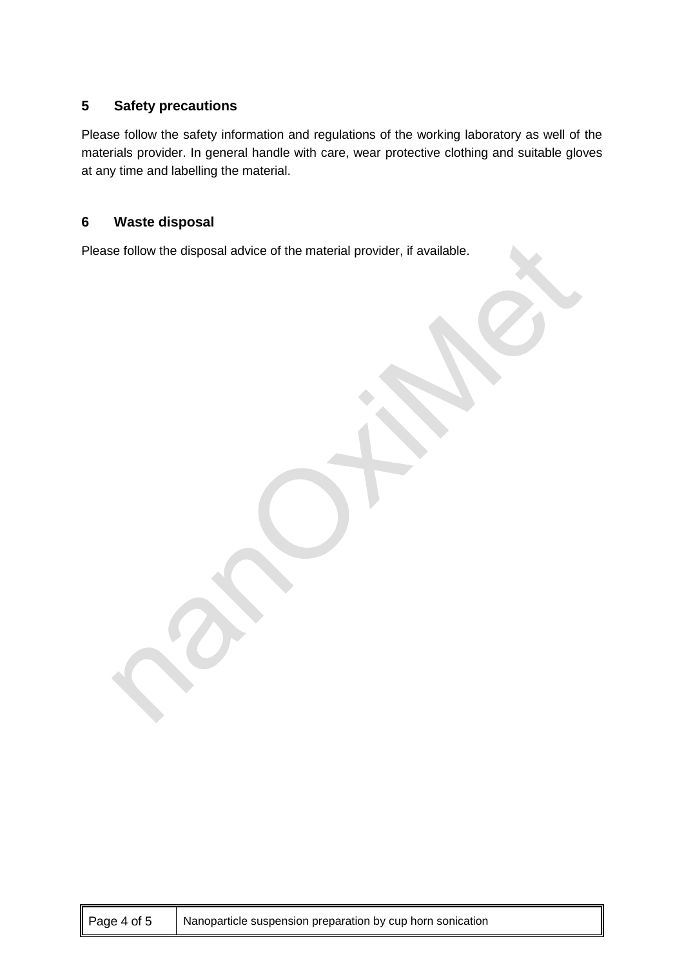## <span id="page-3-0"></span>**5 Safety precautions**

Please follow the safety information and regulations of the working laboratory as well of the materials provider. In general handle with care, wear protective clothing and suitable gloves at any time and labelling the material.

## <span id="page-3-1"></span>**6 Waste disposal**

Please follow the disposal advice of the material provider, if available.